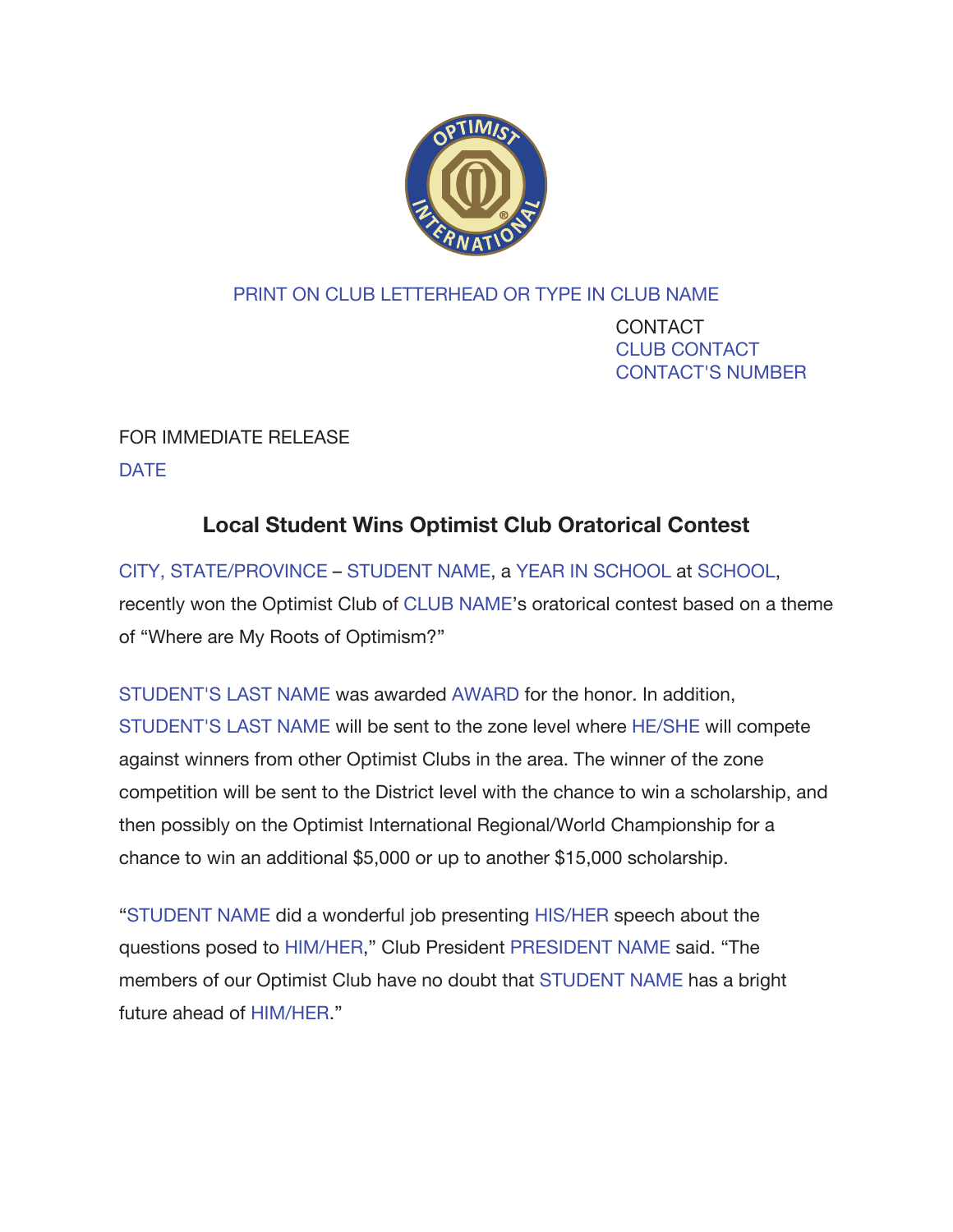

## PRINT ON CLUB LETTERHEAD OR TYPE IN CLUB NAME

 CONTACT CLUB CONTACT CONTACT'S NUMBER

## FOR IMMEDIATE RELEASE DATE

## **Local Student Wins Optimist Club Oratorical Contest**

CITY, STATE/PROVINCE – STUDENT NAME, a YEAR IN SCHOOL at SCHOOL, recently won the Optimist Club of CLUB NAME's oratorical contest based on a theme of "Where are My Roots of Optimism?"

STUDENT'S LAST NAME was awarded AWARD for the honor. In addition, STUDENT'S LAST NAME will be sent to the zone level where HE/SHE will compete against winners from other Optimist Clubs in the area. The winner of the zone competition will be sent to the District level with the chance to win a scholarship, and then possibly on the Optimist International Regional/World Championship for a chance to win an additional \$5,000 or up to another \$15,000 scholarship.

"STUDENT NAME did a wonderful job presenting HIS/HER speech about the questions posed to HIM/HER," Club President PRESIDENT NAME said. "The members of our Optimist Club have no doubt that STUDENT NAME has a bright future ahead of HIM/HER."